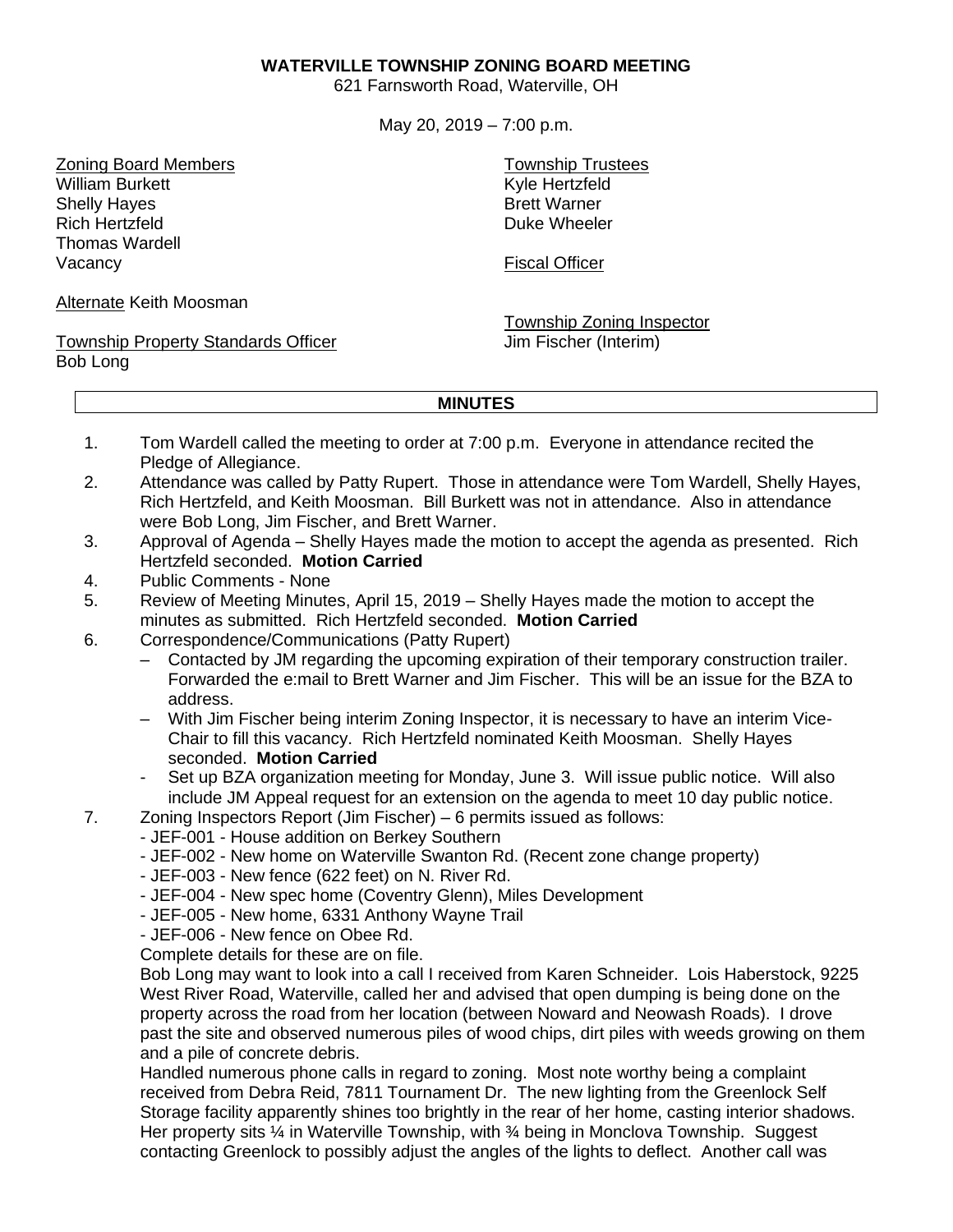## **WATERVILLE TOWNSHIP ZONING BOARD MEETING**

621 Farnsworth Road, Waterville, OH

May 20, 2019 – 7:00 p.m.

Zoning Board Members William Burkett Shelly Hayes Rich Hertzfeld Thomas Wardell Vacancy

Alternate Keith Moosman

Township Property Standards Officer Bob Long

Township Trustees Kyle Hertzfeld Brett Warner Duke Wheeler

Fiscal Officer

Township Zoning Inspector Jim Fischer (Interim)

## **MINUTES**

- 1. Tom Wardell called the meeting to order at 7:00 p.m. Everyone in attendance recited the Pledge of Allegiance.
- 2. Attendance was called by Patty Rupert. Those in attendance were Tom Wardell, Shelly Hayes, Rich Hertzfeld, and Keith Moosman. Bill Burkett was not in attendance. Also in attendance were Bob Long, Jim Fischer, and Brett Warner.
- 3. Approval of Agenda Shelly Hayes made the motion to accept the agenda as presented. Rich Hertzfeld seconded. **Motion Carried**
- 4. Public Comments None
- 5. Review of Meeting Minutes, April 15, 2019 Shelly Hayes made the motion to accept the minutes as submitted. Rich Hertzfeld seconded. **Motion Carried**
- 6. Correspondence/Communications (Patty Rupert)
	- Contacted by JM regarding the upcoming expiration of their temporary construction trailer. Forwarded the e:mail to Brett Warner and Jim Fischer. This will be an issue for the BZA to address.
	- With Jim Fischer being interim Zoning Inspector, it is necessary to have an interim Vice-Chair to fill this vacancy. Rich Hertzfeld nominated Keith Moosman. Shelly Hayes seconded. **Motion Carried**
	- Set up BZA organization meeting for Monday, June 3. Will issue public notice. Will also include JM Appeal request for an extension on the agenda to meet 10 day public notice.
- 7. Zoning Inspectors Report (Jim Fischer) 6 permits issued as follows:
	- JEF-001 House addition on Berkey Southern
		- JEF-002 New home on Waterville Swanton Rd. (Recent zone change property)
		- JEF-003 New fence (622 feet) on N. River Rd.
		- JEF-004 New spec home (Coventry Glenn), Miles Development
		- JEF-005 New home, 6331 Anthony Wayne Trail
		- JEF-006 New fence on Obee Rd.

Complete details for these are on file.

Bob Long may want to look into a call I received from Karen Schneider. Lois Haberstock, 9225 West River Road, Waterville, called her and advised that open dumping is being done on the property across the road from her location (between Noward and Neowash Roads). I drove past the site and observed numerous piles of wood chips, dirt piles with weeds growing on them and a pile of concrete debris.

Handled numerous phone calls in regard to zoning. Most note worthy being a complaint received from Debra Reid, 7811 Tournament Dr. The new lighting from the Greenlock Self Storage facility apparently shines too brightly in the rear of her home, casting interior shadows. Her property sits  $\frac{1}{4}$  in Waterville Township, with  $\frac{3}{4}$  being in Monclova Township. Suggest contacting Greenlock to possibly adjust the angles of the lights to deflect. Another call was